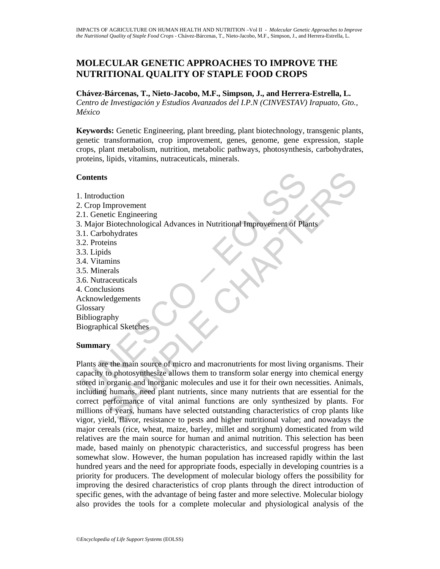# **MOLECULAR GENETIC APPROACHES TO IMPROVE THE NUTRITIONAL QUALITY OF STAPLE FOOD CROPS**

**Chávez-Bárcenas, T., Nieto-Jacobo, M.F., Simpson, J., and Herrera-Estrella, L.** 

*Centro de Investigación y Estudios Avanzados del I.P.N (CINVESTAV) Irapuato, Gto., México* 

**Keywords:** Genetic Engineering, plant breeding, plant biotechnology, transgenic plants, genetic transformation, crop improvement, genes, genome, gene expression, staple crops, plant metabolism, nutrition, metabolic pathways, photosynthesis, carbohydrates, proteins, lipids, vitamins, nutraceuticals, minerals.

#### **Contents**

Contents<br>
Contents<br>
Competition<br>
Competition<br>
Competition<br>
Competition<br>
Contents<br>
Contents<br>
Contents<br>
Contents<br>
Contents<br>
Contents<br>
Contents<br>
Contents<br>
Contents<br>
Contents<br>
Contents<br>
Contents<br>
Contents<br>
Contents<br>
Contents<br> 1. Introduction 2. Crop Improvement 2.1. Genetic Engineering 3. Major Biotechnological Advances in Nutritional Improvement of Plants 3.1. Carbohydrates 3.2. Proteins 3.3. Lipids 3.4. Vitamins 3.5. Minerals 3.6. Nutraceuticals 4. Conclusions Acknowledgements Glossary Bibliography Biographical Sketches

# **Summary**

S<br>
Suction<br>
memorement<br>
Etic Engineering<br>
Biotechnological Advances in Nutritional Improvement of Plants<br>
obtydtates<br>
degements<br>
secuticals<br>
sucsions<br>
such the main source of micro and macronutrients for most living organi Plants are the main source of micro and macronutrients for most living organisms. Their capacity to photosynthesize allows them to transform solar energy into chemical energy stored in organic and inorganic molecules and use it for their own necessities. Animals, including humans, need plant nutrients, since many nutrients that are essential for the correct performance of vital animal functions are only synthesized by plants. For millions of years, humans have selected outstanding characteristics of crop plants like vigor, yield, flavor, resistance to pests and higher nutritional value; and nowadays the major cereals (rice, wheat, maize, barley, millet and sorghum) domesticated from wild relatives are the main source for human and animal nutrition. This selection has been made, based mainly on phenotypic characteristics, and successful progress has been somewhat slow. However, the human population has increased rapidly within the last hundred years and the need for appropriate foods, especially in developing countries is a priority for producers. The development of molecular biology offers the possibility for improving the desired characteristics of crop plants through the direct introduction of specific genes, with the advantage of being faster and more selective. Molecular biology also provides the tools for a complete molecular and physiological analysis of the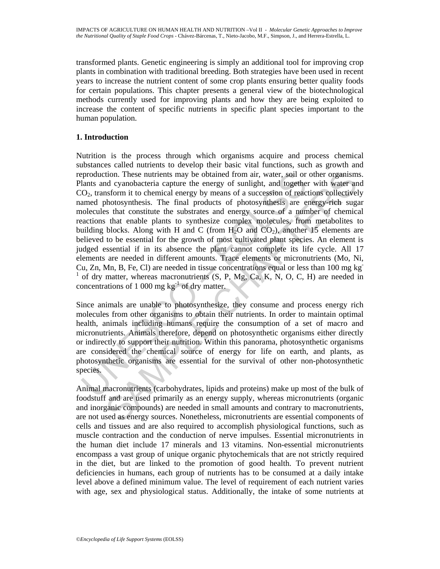transformed plants. Genetic engineering is simply an additional tool for improving crop plants in combination with traditional breeding. Both strategies have been used in recent years to increase the nutrient content of some crop plants ensuring better quality foods for certain populations. This chapter presents a general view of the biotechnological methods currently used for improving plants and how they are being exploited to increase the content of specific nutrients in specific plant species important to the human population.

## **1. Introduction**

production. These nutrients may be obtained from air, water, soil or<br>lanks and cyanobacteria capture the energy of sunlight, and togethe<br>O<sub>2</sub>, transform it to chemical energy by means of a succession of reac-<br>amed photosyn tion. These nutrients may be obtained from air, water, soil or other organism<br>of cynohacteria capture the energy of sunlight, and logether with water an<br>ansform it to chemical energy by means of a succession of reactions Nutrition is the process through which organisms acquire and process chemical substances called nutrients to develop their basic vital functions, such as growth and reproduction. These nutrients may be obtained from air, water, soil or other organisms. Plants and cyanobacteria capture the energy of sunlight, and together with water and  $CO<sub>2</sub>$ , transform it to chemical energy by means of a succession of reactions collectively named photosynthesis. The final products of photosynthesis are energy-rich sugar molecules that constitute the substrates and energy source of a number of chemical reactions that enable plants to synthesize complex molecules, from metabolites to building blocks. Along with H and C (from  $H_2O$  and  $CO_2$ ), another 15 elements are believed to be essential for the growth of most cultivated plant species. An element is judged essential if in its absence the plant cannot complete its life cycle. All 17 elements are needed in different amounts. Trace elements or micronutrients (Mo, Ni, Cu, Zn, Mn, B, Fe, Cl) are needed in tissue concentrations equal or less than 100 mg kg-<sup>1</sup> of dry matter, whereas macronutrients (S, P, Mg, Ca, K, N, O, C, H) are needed in concentrations of 1 000 mg  $kg^{-1}$  of dry matter.

Since animals are unable to photosynthesize, they consume and process energy rich molecules from other organisms to obtain their nutrients. In order to maintain optimal health, animals including humans require the consumption of a set of macro and micronutrients. Animals therefore, depend on photosynthetic organisms either directly or indirectly to support their nutrition. Within this panorama, photosynthetic organisms are considered the chemical source of energy for life on earth, and plants, as photosynthetic organisms are essential for the survival of other non-photosynthetic species.

Animal macronutrients (carbohydrates, lipids and proteins) make up most of the bulk of foodstuff and are used primarily as an energy supply, whereas micronutrients (organic and inorganic compounds) are needed in small amounts and contrary to macronutrients, are not used as energy sources. Nonetheless, micronutrients are essential components of cells and tissues and are also required to accomplish physiological functions, such as muscle contraction and the conduction of nerve impulses. Essential micronutrients in the human diet include 17 minerals and 13 vitamins. Non-essential micronutrients encompass a vast group of unique organic phytochemicals that are not strictly required in the diet, but are linked to the promotion of good health. To prevent nutrient deficiencies in humans, each group of nutrients has to be consumed at a daily intake level above a defined minimum value. The level of requirement of each nutrient varies with age, sex and physiological status. Additionally, the intake of some nutrients at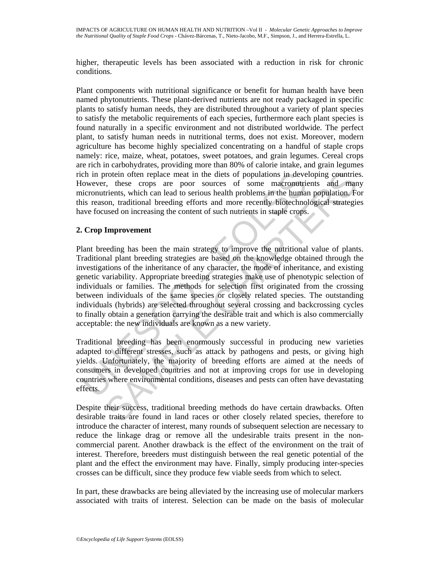higher, therapeutic levels has been associated with a reduction in risk for chronic conditions.

Plant components with nutritional significance or benefit for human health have been named phytonutrients. These plant-derived nutrients are not ready packaged in specific plants to satisfy human needs, they are distributed throughout a variety of plant species to satisfy the metabolic requirements of each species, furthermore each plant species is found naturally in a specific environment and not distributed worldwide. The perfect plant, to satisfy human needs in nutritional terms, does not exist. Moreover, modern agriculture has become highly specialized concentrating on a handful of staple crops namely: rice, maize, wheat, potatoes, sweet potatoes, and grain legumes. Cereal crops are rich in carbohydrates, providing more than 80% of calorie intake, and grain legumes rich in protein often replace meat in the diets of populations in developing countries. However, these crops are poor sources of some macronutrients and many micronutrients, which can lead to serious health problems in the human population. For this reason, traditional breeding efforts and more recently biotechnological strategies have focused on increasing the content of such nutrients in staple crops.

### **2. Crop Improvement**

chi in protein often replace meat in the diets of populations in deve<br>cowever, these crops are poor sources of some macronultric<br>incromutrinats, which can lead to serious health problems in the human<br>its reason, traditiona rotein often replace meat in the diets of populations in developing countries, which can be crops are poor sources of some macronoutrients and mann population, Frience cross of some macronoutrients and more recently biotec Plant breeding has been the main strategy to improve the nutritional value of plants. Traditional plant breeding strategies are based on the knowledge obtained through the investigations of the inheritance of any character, the mode of inheritance, and existing genetic variability. Appropriate breeding strategies make use of phenotypic selection of individuals or families. The methods for selection first originated from the crossing between individuals of the same species or closely related species. The outstanding individuals (hybrids) are selected throughout several crossing and backcrossing cycles to finally obtain a generation carrying the desirable trait and which is also commercially acceptable: the new individuals are known as a new variety.

Traditional breeding has been enormously successful in producing new varieties adapted to different stresses, such as attack by pathogens and pests, or giving high yields. Unfortunately, the majority of breeding efforts are aimed at the needs of consumers in developed countries and not at improving crops for use in developing countries where environmental conditions, diseases and pests can often have devastating effects.

Despite their success, traditional breeding methods do have certain drawbacks. Often desirable traits are found in land races or other closely related species, therefore to introduce the character of interest, many rounds of subsequent selection are necessary to reduce the linkage drag or remove all the undesirable traits present in the noncommercial parent. Another drawback is the effect of the environment on the trait of interest. Therefore, breeders must distinguish between the real genetic potential of the plant and the effect the environment may have. Finally, simply producing inter-species crosses can be difficult, since they produce few viable seeds from which to select.

In part, these drawbacks are being alleviated by the increasing use of molecular markers associated with traits of interest. Selection can be made on the basis of molecular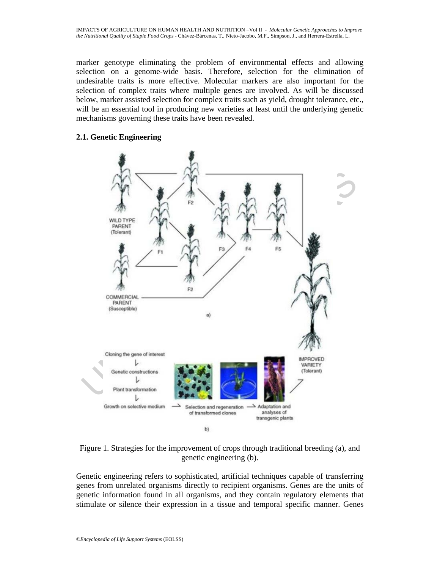marker genotype eliminating the problem of environmental effects and allowing selection on a genome-wide basis. Therefore, selection for the elimination of undesirable traits is more effective. Molecular markers are also important for the selection of complex traits where multiple genes are involved. As will be discussed below, marker assisted selection for complex traits such as yield, drought tolerance, etc., will be an essential tool in producing new varieties at least until the underlying genetic mechanisms governing these traits have been revealed.

#### **2.1. Genetic Engineering**





Genetic engineering refers to sophisticated, artificial techniques capable of transferring genes from unrelated organisms directly to recipient organisms. Genes are the units of genetic information found in all organisms, and they contain regulatory elements that stimulate or silence their expression in a tissue and temporal specific manner. Genes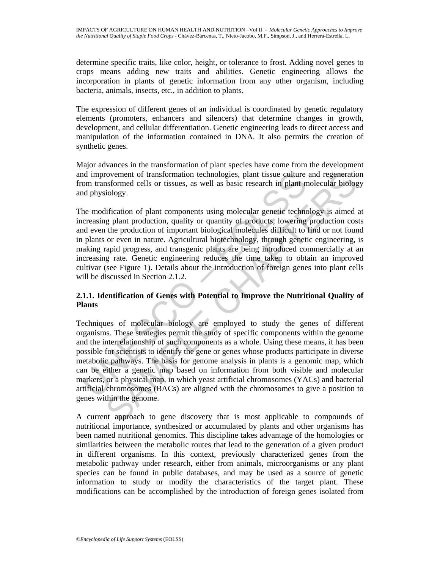determine specific traits, like color, height, or tolerance to frost. Adding novel genes to crops means adding new traits and abilities. Genetic engineering allows the incorporation in plants of genetic information from any other organism, including bacteria, animals, insects, etc., in addition to plants.

The expression of different genes of an individual is coordinated by genetic regulatory elements (promoters, enhancers and silencers) that determine changes in growth, development, and cellular differentiation. Genetic engineering leads to direct access and manipulation of the information contained in DNA. It also permits the creation of synthetic genes.

Major advances in the transformation of plant species have come from the development and improvement of transformation technologies, plant tissue culture and regeneration from transformed cells or tissues, as well as basic research in plant molecular biology and physiology.

The modification of plant components using molecular genetic technology is aimed at increasing plant production, quality or quantity of products, lowering production costs and even the production of important biological molecules difficult to find or not found in plants or even in nature. Agricultural biotechnology, through genetic engineering, is making rapid progress, and transgenic plants are being introduced commercially at an increasing rate. Genetic engineering reduces the time taken to obtain an improved cultivar (see Figure 1). Details about the introduction of foreign genes into plant cells will be discussed in Section 2.1.2.

## **2.1.1. Identification of Genes with Potential to Improve the Nutritional Quality of Plants**

nd improvement of transformation technologies, plant tissue culture<br>om transformed cells or tissues, as well as basic research in plant n<br>ad physiology.<br>the modification of plant components using molecular genetic techno<br>c rowement of transformation technologies, plant tissue culture and regeneratio<br>isolongy.<br>Shormed cells or tissues, as well as basic research in plant molecular biology.<br>Infication of plant components using molecular genetic Techniques of molecular biology are employed to study the genes of different organisms. These strategies permit the study of specific components within the genome and the interrelationship of such components as a whole. Using these means, it has been possible for scientists to identify the gene or genes whose products participate in diverse metabolic pathways. The basis for genome analysis in plants is a genomic map, which can be either a genetic map based on information from both visible and molecular markers, or a physical map, in which yeast artificial chromosomes (YACs) and bacterial artificial chromosomes (BACs) are aligned with the chromosomes to give a position to genes within the genome.

A current approach to gene discovery that is most applicable to compounds of nutritional importance, synthesized or accumulated by plants and other organisms has been named nutritional genomics. This discipline takes advantage of the homologies or similarities between the metabolic routes that lead to the generation of a given product in different organisms. In this context, previously characterized genes from the metabolic pathway under research, either from animals, microorganisms or any plant species can be found in public databases, and may be used as a source of genetic information to study or modify the characteristics of the target plant. These modifications can be accomplished by the introduction of foreign genes isolated from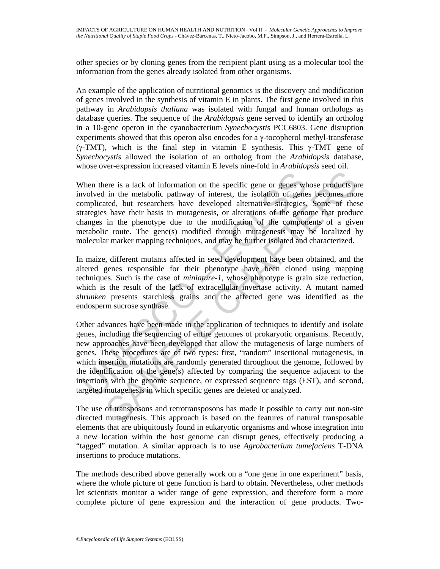other species or by cloning genes from the recipient plant using as a molecular tool the information from the genes already isolated from other organisms.

An example of the application of nutritional genomics is the discovery and modification of genes involved in the synthesis of vitamin E in plants. The first gene involved in this pathway in *Arabidopsis thaliana* was isolated with fungal and human orthologs as database queries. The sequence of the *Arabidopsis* gene served to identify an ortholog in a 10-gene operon in the cyanobacterium *Synechocystis* PCC6803. Gene disruption experiments showed that this operon also encodes for a γ-tocopherol methyl-transferase (γ-TMT), which is the final step in vitamin E synthesis. This  $γ$ -TMT gene of *Synechocystis* allowed the isolation of an ortholog from the *Arabidopsis* database, whose over-expression increased vitamin E levels nine-fold in *Arabidopsis* seed oil.

When there is a lack of information on the specific gene or genes whose products are involved in the metabolic pathway of interest, the isolation of genes becomes more complicated, but researchers have developed alternative strategies. Some of these strategies have their basis in mutagenesis, or alterations of the genome that produce changes in the phenotype due to the modification of the components of a given metabolic route. The gene(s) modified through mutagenesis may be localized by molecular marker mapping techniques, and may be further isolated and characterized.

In maize, different mutants affected in seed development have been obtained, and the altered genes responsible for their phenotype have been cloned using mapping techniques. Such is the case of *miniature-1*, whose phenotype is grain size reduction, which is the result of the lack of extracellular invertase activity. A mutant named *shrunken* presents starchless grains and the affected gene was identified as the endosperm sucrose synthase.

When there is a lack of information on the specific gene or genes whvolved in the metabolic pathway of interest, the isolation of gene ompn<br>plicated, but researchers have developed alternative strategies.<br>rategies have th ere is a lack of information on the specific gene or genes whose products an the metabolic pathway of interest, the isolation of genes becomes moted, but researchers have developed alternative strategies. Some of these hav Other advances have been made in the application of techniques to identify and isolate genes, including the sequencing of entire genomes of prokaryotic organisms. Recently, new approaches have been developed that allow the mutagenesis of large numbers of genes. These procedures are of two types: first, "random" insertional mutagenesis, in which insertion mutations are randomly generated throughout the genome, followed by the identification of the gene(s) affected by comparing the sequence adjacent to the insertions with the genome sequence, or expressed sequence tags (EST), and second, targeted mutagenesis in which specific genes are deleted or analyzed.

The use of transposons and retrotransposons has made it possible to carry out non-site directed mutagenesis. This approach is based on the features of natural transposable elements that are ubiquitously found in eukaryotic organisms and whose integration into a new location within the host genome can disrupt genes, effectively producing a "tagged" mutation. A similar approach is to use *Agrobacterium tumefaciens* T-DNA insertions to produce mutations.

The methods described above generally work on a "one gene in one experiment" basis, where the whole picture of gene function is hard to obtain. Nevertheless, other methods let scientists monitor a wider range of gene expression, and therefore form a more complete picture of gene expression and the interaction of gene products. Two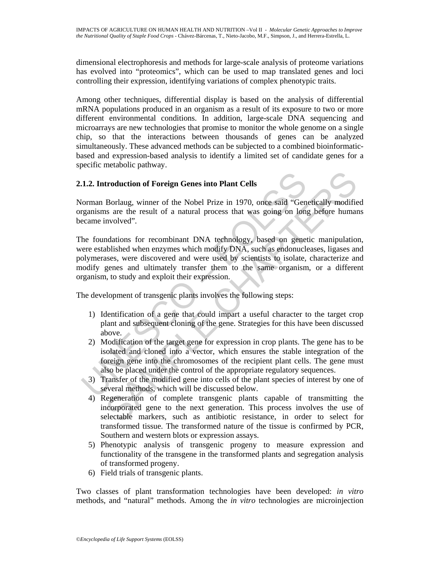dimensional electrophoresis and methods for large-scale analysis of proteome variations has evolved into "proteomics", which can be used to map translated genes and loci controlling their expression, identifying variations of complex phenotypic traits.

Among other techniques, differential display is based on the analysis of differential mRNA populations produced in an organism as a result of its exposure to two or more different environmental conditions. In addition, large-scale DNA sequencing and microarrays are new technologies that promise to monitor the whole genome on a single chip, so that the interactions between thousands of genes can be analyzed simultaneously. These advanced methods can be subjected to a combined bioinformaticbased and expression-based analysis to identify a limited set of candidate genes for a specific metabolic pathway.

## **2.1.2. Introduction of Foreign Genes into Plant Cells**

Norman Borlaug, winner of the Nobel Prize in 1970, once said "Genetically modified organisms are the result of a natural process that was going on long before humans became involved".

1.2. Introduction of Foreign Genes into Plant Cells<br>
(orman Borlaug, winner of the Nobel Prize in 1970, once said "Gen<br>
reganisms are the result of a natural process that was going on long<br>
ceame involved".<br>
he foundations **troduction of Foreign Genes into Plant Cells**<br>Borlaug, winner of the Nobel Prize in 1970, once said "Genetically modifies<br>ave are the result of a natural process that was going on long before humar<br>nvolved".<br>Borlaught and The foundations for recombinant DNA technology, based on genetic manipulation, were established when enzymes which modify DNA, such as endonucleases, ligases and polymerases, were discovered and were used by scientists to isolate, characterize and modify genes and ultimately transfer them to the same organism, or a different organism, to study and exploit their expression.

The development of transgenic plants involves the following steps:

- 1) Identification of a gene that could impart a useful character to the target crop plant and subsequent cloning of the gene. Strategies for this have been discussed above.
- 2) Modification of the target gene for expression in crop plants. The gene has to be isolated and cloned into a vector, which ensures the stable integration of the foreign gene into the chromosomes of the recipient plant cells. The gene must also be placed under the control of the appropriate regulatory sequences.
- 3) Transfer of the modified gene into cells of the plant species of interest by one of several methods, which will be discussed below.
- 4) Regeneration of complete transgenic plants capable of transmitting the incorporated gene to the next generation. This process involves the use of selectable markers, such as antibiotic resistance, in order to select for transformed tissue. The transformed nature of the tissue is confirmed by PCR, Southern and western blots or expression assays.
- 5) Phenotypic analysis of transgenic progeny to measure expression and functionality of the transgene in the transformed plants and segregation analysis of transformed progeny.
- 6) Field trials of transgenic plants.

Two classes of plant transformation technologies have been developed: *in vitro* methods, and "natural" methods. Among the *in vitro* technologies are microinjection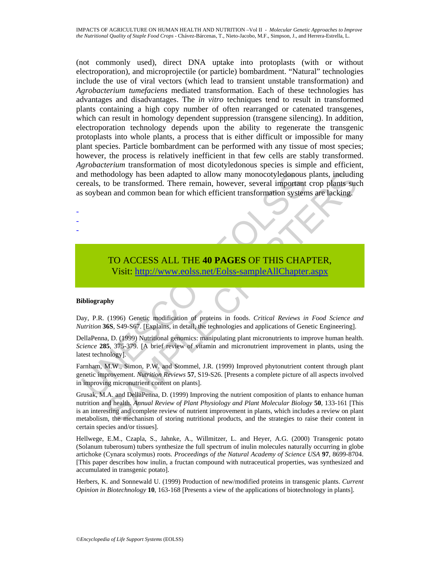and methodology has been adapted to allow many monocotyledonous<br>reals, to be transformed. There remain, however, several important<br>soybean and common bean for which efficient transformation system<br>soybean and common bean f (not commonly used), direct DNA uptake into protoplasts (with or without electroporation), and microprojectile (or particle) bombardment. "Natural" technologies include the use of viral vectors (which lead to transient unstable transformation) and *Agrobacterium tumefaciens* mediated transformation. Each of these technologies has advantages and disadvantages. The *in vitro* techniques tend to result in transformed plants containing a high copy number of often rearranged or catenated transgenes, which can result in homology dependent suppression (transgene silencing). In addition, electroporation technology depends upon the ability to regenerate the transgenic protoplasts into whole plants, a process that is either difficult or impossible for many plant species. Particle bombardment can be performed with any tissue of most species; however, the process is relatively inefficient in that few cells are stably transformed. *Agrobacterium* transformation of most dicotyledonous species is simple and efficient, and methodology has been adapted to allow many monocotyledonous plants, including cereals, to be transformed. There remain, however, several important crop plants such as soybean and common bean for which efficient transformation systems are lacking.

# TO ACCESS ALL THE **40 PAGES** OF THIS CHAPTER, Visit: http://www.eolss.net/Eolss-sampleAllChapter.aspx

#### **Bibliography**

- - -

Day, P.R. (1996) Genetic modification of proteins in foods. *Critical Reviews in Food Science and Nutrition* **36S**, S49-S67. [Explains, in detail, the technologies and applications of Genetic Engineering].

DellaPenna, D. (1999) Nutritional genomics: manipulating plant micronutrients to improve human health. *Science* **285**, 375-379. [A brief review of vitamin and micronutrient improvement in plants, using the latest technology].

Farnham, M.W., Simon, P.W. and Stommel, J.R. (1999) Improved phytonutrient content through plant genetic improvement. *Nutrition Reviews* **57**, S19-S26. [Presents a complete picture of all aspects involved in improving micronutrient content on plants].

nodology has been adapted to allow many monocotyledonous plants, includin<br>
to be transformed. There remain, however, several important crop plants such<br>
an and common bean for which efficient transformation systems are lac Grusak, M.A. and DellaPenna, D. (1999) Improving the nutrient composition of plants to enhance human nutrition and health. *Annual Review of Plant Physiology and Plant Molecular Biology* **50**, 133-161 [This is an interesting and complete review of nutrient improvement in plants, which includes a review on plant metabolism, the mechanism of storing nutritional products, and the strategies to raise their content in certain species and/or tissues].

Hellwege, E.M., Czapla, S., Jahnke, A., Willmitzer, L. and Heyer, A.G. (2000) Transgenic potato (Solanum tuberosum) tubers synthesize the full spectrum of inulin molecules naturally occurring in globe artichoke (Cynara scolymus) roots. *Proceedings of the Natural Academy of Science USA* **97**, 8699-8704. [This paper describes how inulin, a fructan compound with nutraceutical properties, was synthesized and accumulated in transgenic potato].

Herbers, K. and Sonnewald U. (1999) Production of new/modified proteins in transgenic plants. *Current Opinion in Biotechnology* **10**, 163-168 [Presents a view of the applications of biotechnology in plants].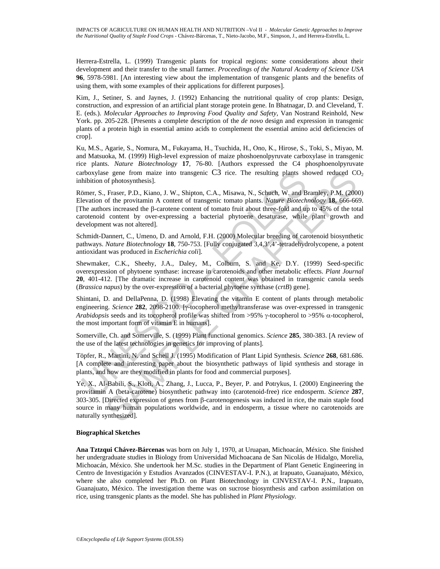Herrera-Estrella, L. (1999) Transgenic plants for tropical regions: some considerations about their development and their transfer to the small farmer. *Proceedings of the Natural Academy of Science USA* **96**, 5978-5981. [An interesting view about the implementation of transgenic plants and the benefits of using them, with some examples of their applications for different purposes].

Kim, J., Setiner, S. and Jaynes, J. (1992) Enhancing the nutritional quality of crop plants: Design, construction, and expression of an artificial plant storage protein gene. In Bhatnagar, D. and Cleveland, T. E. (eds.). *Molecular Approaches to Improving Food Quality and Safety*, Van Nostrand Reinhold, New York. pp. 205-228. [Presents a complete description of the *de novo* design and expression in transgenic plants of a protein high in essential amino acids to complement the essential amino acid deficiencies of crop].

Ku, M.S., Agarie, S., Nomura, M., Fukayama, H., Tsuchida, H., Ono, K., Hirose, S., Toki, S., Miyao, M. and Matsuoka, M. (1999) High-level expression of maize phoshoenolpyruvate carboxylase in transgenic rice plants. *Nature Biotechnology* **17**, 76-80. [Authors expressed the C4 phosphoenolpyruvate carboxylase gene from maize into transgenic  $C_3$  rice. The resulting plants showed reduced  $C_2$ inhibition of photosynthesis].

arboxylase gene from maize into transgenic C3 rice. The resulting plants sh<br>hibition of photosynthesis].<br>
moment, S., Fraser, P.D., Kiano, J. W., Shipton, C.A., Misawa, N., Schuch, W. and Bievation of the provitamin A cont e gene from maize into transgenic C3 rice. The resulting plants showed reduced CC photosynthesis).<br>
The Fract, P.D., Kiano, J. W., Shipton, C.A., Misawa, N., Schutch, W. and Bramley, P.M. (2000<br>
of the provitamin A conten Römer, S., Fraser, P.D., Kiano, J. W., Shipton, C.A., Misawa, N., Schuch, W. and Bramley, P.M. (2000) Elevation of the provitamin A content of transgenic tomato plants. *Nature Biotechnology* **18**, 666-669. [The authors increased the β-carotene content of tomato fruit about three-fold and up to 45% of the total carotenoid content by over-expressing a bacterial phytoene desaturase, while plant growth and development was not altered].

Schmidt-Dannert, C., Umeno, D. and Arnold, F.H. (2000) Molecular breeding of carotenoid biosynthetic pathways. *Nature Biotechnology* **18**, 750-753. [Fully conjugated 3,4,3',4'-tetradehydrolycopene, a potent antioxidant was produced in *Escherichia coli*].

Shewmaker, C.K., Sheehy, J.A., Daley, M., Colburn, S. and Ke, D.Y. (1999) Seed-specific overexpression of phytoene synthase: increase in carotenoids and other metabolic effects. *Plant Journal* **20**, 401-412. [The dramatic increase in carotenoid content was obtained in transgenic canola seeds (*Brassica napus*) by the over-expression of a bacterial phytoene synthase (*crtB*) gene].

Shintani, D. and DellaPenna, D. (1998) Elevating the vitamin E content of plants through metabolic engineering. *Science* **282**, 2098-2100. [γ-tocopherol methyltransferase was over-expressed in transgenic *Arabidopsis* seeds and its tocopherol profile was shifted from >95% γ-tocopherol to >95% α-tocopherol, the most important form of vitamin E in humans].

Somerville, Ch. and Somerville, S. (1999) Plant functional genomics. *Science* **285**, 380-383. [A review of the use of the latest technologies in genetics for improving of plants].

Töpfer, R., Martini, N. and Schell J. (1995) Modification of Plant Lipid Synthesis. *Science* **268**, 681.686. [A complete and interesting paper about the biosynthetic pathways of lipid synthesis and storage in plants, and how are they modified in plants for food and commercial purposes].

Ye, X., Al-Babili, S., Kloti, A., Zhang, J., Lucca, P., Beyer, P. and Potrykus, I. (2000) Engineering the provitamin A (beta-carotene) biosynthetic pathway into (carotenoid-free) rice endosperm. *Science* **287**, 303-305. [Directed expression of genes from β-carotenogenesis was induced in rice, the main staple food source in many human populations worldwide, and in endosperm, a tissue where no carotenoids are naturally synthesized].

#### **Biographical Sketches**

**Ana Tztzqui Chávez-Bárcenas** was born on July 1, 1970, at Uruapan, Michoacán, México. She finished her undergraduate studies in Biology from Universidad Michoacana de San Nicolás de Hidalgo, Morelia, Michoacán, México. She undertook her M.Sc. studies in the Department of Plant Genetic Engineering in Centro de Investigación y Estudios Avanzados (CINVESTAV-I. P.N.), at Irapuato, Guanajuato, México, where she also completed her Ph.D. on Plant Biotechnology in CINVESTAV-I. P.N., Irapuato, Guanajuato, México. The investigation theme was on sucrose biosynthesis and carbon assimilation on rice, using transgenic plants as the model. She has published in *Plant Physiology.*